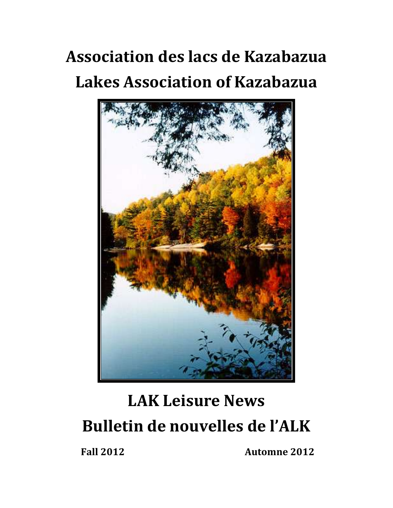# **Association des lacs de Kazabazua Lakes Association of Kazabazua**



# **LAK Leisure News Bulletin de nouvelles de l'ALK**

**Fall 2012 Automne 2012**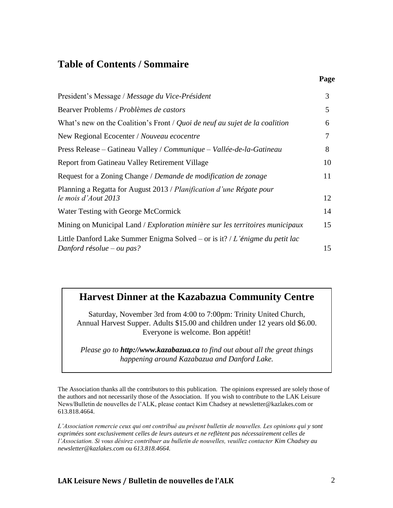### **Table of Contents / Sommaire**

| President's Message / Message du Vice-Président                                                           | $\mathfrak{Z}$ |
|-----------------------------------------------------------------------------------------------------------|----------------|
| Bearver Problems / Problèmes de castors                                                                   | 5 <sup>5</sup> |
| What's new on the Coalition's Front / Quoi de neuf au sujet de la coalition                               | 6              |
| New Regional Ecocenter / Nouveau ecocentre                                                                | 7              |
| Press Release – Gatineau Valley / Communique – Vallée-de-la-Gatineau                                      | 8              |
| <b>Report from Gatineau Valley Retirement Village</b>                                                     | 10             |
| Request for a Zoning Change / Demande de modification de zonage                                           | 11             |
| Planning a Regatta for August 2013 / Planification d'une Régate pour<br>le mois d'Aout 2013               | 12             |
| Water Testing with George McCormick                                                                       | 14             |
| Mining on Municipal Land / Exploration minière sur les territoires municipaux                             | 15             |
| Little Danford Lake Summer Enigma Solved – or is it? / L'énigme du petit lac<br>Danford résolue – ou pas? | 15             |

### **Harvest Dinner at the Kazabazua Community Centre**

Saturday, November 3rd from 4:00 to 7:00pm: Trinity United Church, Annual Harvest Supper. Adults \$15.00 and children under 12 years old \$6.00. Everyone is welcome. Bon appétit!

*Please go to [http://www.kazabazua.ca](http://www.kazabazua.ca/) to find out about all the great things happening around Kazabazua and Danford Lake.*

The Association thanks all the contributors to this publication. The opinions expressed are solely those of the authors and not necessarily those of the Association. If you wish to contribute to the LAK Leisure News/Bulletin de nouvelles de l'ALK, please contact Kim Chadsey at [newsletter@kazlakes.com](mailto:newsletter@kazlakes.com) or 613.818.4664.

*L'Association remercie ceux qui ont contribué au présent bulletin de nouvelles. Les opinions qui y sont exprimées sont exclusivement celles de leurs auteurs et ne reflètent pas nécessairement celles de l'Association. Si vous désirez contribuer au bulletin de nouvelles, veuillez contacter Kim Chadsey au newsletter@kazlakes.com ou 613.818.4664.*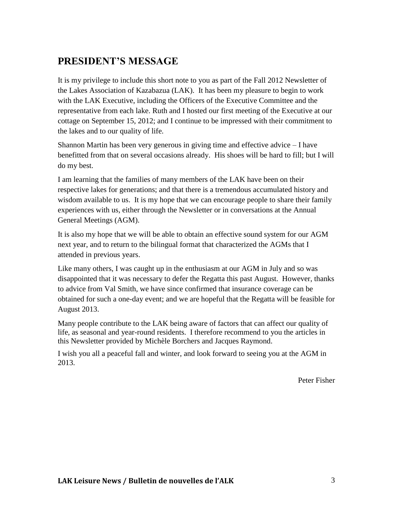# **PRESIDENT'S MESSAGE**

It is my privilege to include this short note to you as part of the Fall 2012 Newsletter of the Lakes Association of Kazabazua (LAK). It has been my pleasure to begin to work with the LAK Executive, including the Officers of the Executive Committee and the representative from each lake. Ruth and I hosted our first meeting of the Executive at our cottage on September 15, 2012; and I continue to be impressed with their commitment to the lakes and to our quality of life.

Shannon Martin has been very generous in giving time and effective advice – I have benefitted from that on several occasions already. His shoes will be hard to fill; but I will do my best.

I am learning that the families of many members of the LAK have been on their respective lakes for generations; and that there is a tremendous accumulated history and wisdom available to us. It is my hope that we can encourage people to share their family experiences with us, either through the Newsletter or in conversations at the Annual General Meetings (AGM).

It is also my hope that we will be able to obtain an effective sound system for our AGM next year, and to return to the bilingual format that characterized the AGMs that I attended in previous years.

Like many others, I was caught up in the enthusiasm at our AGM in July and so was disappointed that it was necessary to defer the Regatta this past August. However, thanks to advice from Val Smith, we have since confirmed that insurance coverage can be obtained for such a one-day event; and we are hopeful that the Regatta will be feasible for August 2013.

Many people contribute to the LAK being aware of factors that can affect our quality of life, as seasonal and year-round residents. I therefore recommend to you the articles in this Newsletter provided by Michèle Borchers and Jacques Raymond.

I wish you all a peaceful fall and winter, and look forward to seeing you at the AGM in 2013.

Peter Fisher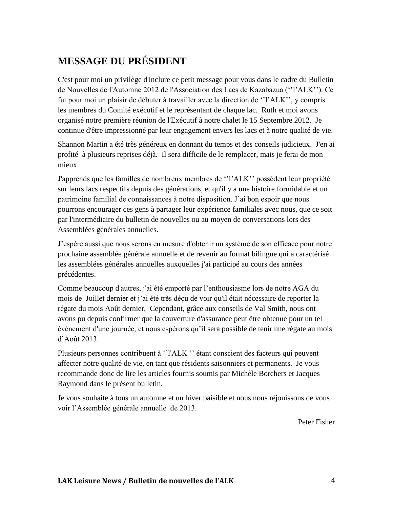# **MESSAGE DU PRÉSIDENT**

C'est pour moi un privilège d'inclure ce petit message pour vous dans le cadre du Bulletin de Nouvelles de l'Automne 2012 de l'Association des Lacs de Kazabazua (''l'ALK''). Ce fut pour moi un plaisir de débuter à travailler avec la direction de ''l'ALK'', y compris les membres du Comité exécutif et le représentant de chaque lac. Ruth et moi avons organisé notre première réunion de l'Exécutif à notre chalet le 15 Septembre 2012. Je continue d'être impressionné par leur engagement envers les lacs et à notre qualité de vie.

Shannon Martin a été très généreux en donnant du temps et des conseils judicieux. J'en ai profité à plusieurs reprises déjà. Il sera difficile de le remplacer, mais je ferai de mon mieux.

J'apprends que les familles de nombreux membres de ''l'ALK'' possèdent leur propriété sur leurs lacs respectifs depuis des générations, et qu'il y a une histoire formidable et un patrimoine familial de connaissances à notre disposition. J'ai bon espoir que nous pourrons encourager ces gens à partager leur expérience familiales avec nous, que ce soit par l'intermédiaire du bulletin de nouvelles ou au moyen de conversations lors des Assemblées générales annuelles.

J'espère aussi que nous serons en mesure d'obtenir un système de son efficace pour notre prochaine assemblée générale annuelle et de revenir au format bilingue qui a caractérisé les assemblées générales annuelles auxquelles j'ai participé au cours des années précédentes.

Comme beaucoup d'autres, j'ai été emporté par l'enthousiasme lors de notre AGA du mois de Juillet dernier et j'ai été très déçu de voir qu'il était nécessaire de reporter la régate du mois Août dernier, Cependant, grâce aux conseils de Val Smith, nous ont avons pu depuis confirmer que la couverture d'assurance peut être obtenue pour un tel événement d'une journée, et nous espérons qu'il sera possible de tenir une régate au mois d'Août 2013.

Plusieurs personnes contribuent à ''l'ALK '' étant conscient des facteurs qui peuvent affecter notre qualité de vie, en tant que résidents saisonniers et permanents. Je vous recommande donc de lire les articles fournis soumis par Michèle Borchers et Jacques Raymond dans le présent bulletin.

Je vous souhaite à tous un automne et un hiver paisible et nous nous réjouissons de vous voir l'Assemblée générale annuelle de 2013.

Peter Fisher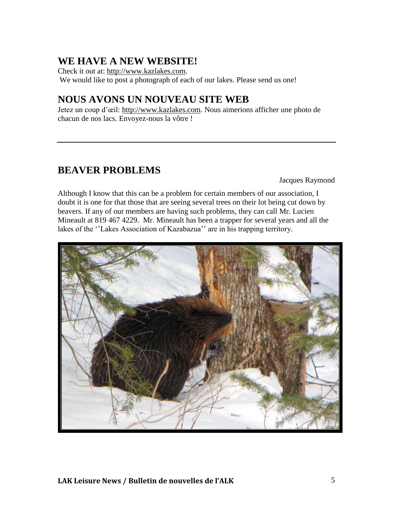# **WE HAVE A NEW WEBSITE!**

Check it out at: [http://www.kazlakes.com.](http://www.kazlakes.com/) We would like to post a photograph of each of our lakes. Please send us one!

### **NOUS AVONS UN NOUVEAU SITE WEB**

Jetez un coup d'œil: [http://www.kazlakes.com.](http://www.kazlakes.com/) Nous aimerions afficher une photo de chacun de nos lacs. Envoyez-nous la vôtre !

## **BEAVER PROBLEMS**

Jacques Raymond

Although I know that this can be a problem for certain members of our association, I doubt it is one for that those that are seeing several trees on their lot being cut down by beavers. If any of our members are having such problems, they can call Mr. Lucien Mineault at 819 467 4229. Mr. Mineault has been a trapper for several years and all the lakes of the ''Lakes Association of Kazabazua'' are in his trapping territory.

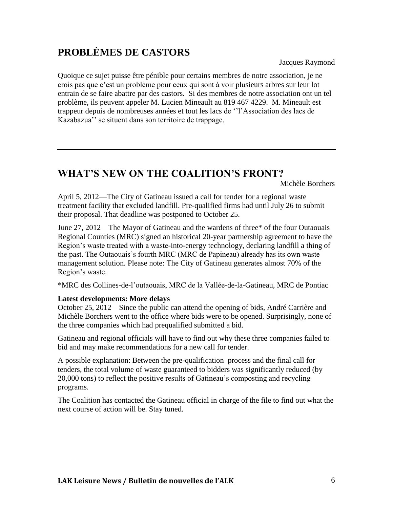# **PROBLÈMES DE CASTORS**

Jacques Raymond

Quoique ce sujet puisse être pénible pour certains membres de notre association, je ne crois pas que c'est un problème pour ceux qui sont à voir plusieurs arbres sur leur lot entrain de se faire abattre par des castors. Si des membres de notre association ont un tel problème, ils peuvent appeler M. Lucien Mineault au 819 467 4229. M. Mineault est trappeur depuis de nombreuses années et tout les lacs de ''l'Association des lacs de Kazabazua'' se situent dans son territoire de trappage.

# **WHAT'S NEW ON THE COALITION'S FRONT?**

Michèle Borchers

April 5, 2012—The City of Gatineau issued a call for tender for a regional waste treatment facility that excluded landfill. Pre-qualified firms had until July 26 to submit their proposal. That deadline was postponed to October 25.

June 27, 2012—The Mayor of Gatineau and the wardens of three\* of the four Outaouais Regional Counties (MRC) signed an historical 20-year partnership agreement to have the Region's waste treated with a waste-into-energy technology, declaring landfill a thing of the past. The Outaouais's fourth MRC (MRC de Papineau) already has its own waste management solution. Please note: The City of Gatineau generates almost 70% of the Region's waste.

\*MRC des Collines-de-l'outaouais, MRC de la Vallée-de-la-Gatineau, MRC de Pontiac

#### **Latest developments: More delays**

October 25, 2012—Since the public can attend the opening of bids, André Carrière and Michèle Borchers went to the office where bids were to be opened. Surprisingly, none of the three companies which had prequalified submitted a bid.

Gatineau and regional officials will have to find out why these three companies failed to bid and may make recommendations for a new call for tender.

A possible explanation: Between the pre-qualification process and the final call for tenders, the total volume of waste guaranteed to bidders was significantly reduced (by 20,000 tons) to reflect the positive results of Gatineau's composting and recycling programs.

The Coalition has contacted the Gatineau official in charge of the file to find out what the next course of action will be. Stay tuned.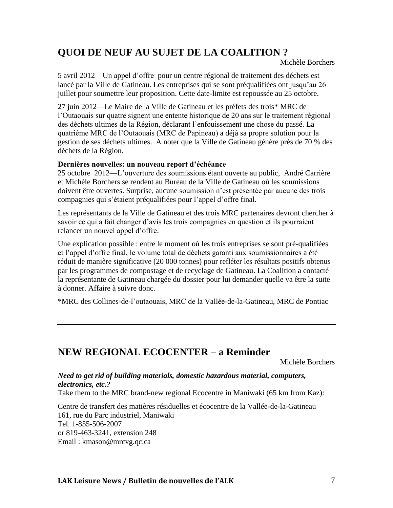# **QUOI DE NEUF AU SUJET DE LA COALITION ?**

Michèle Borchers

5 avril 2012—Un appel d'offre pour un centre régional de traitement des déchets est lancé par la Ville de Gatineau. Les entreprises qui se sont préqualifiées ont jusqu'au 26 juillet pour soumettre leur proposition. Cette date-limite est repoussée au 25 octobre.

27 juin 2012—Le Maire de la Ville de Gatineau et les préfets des trois\* MRC de l'Outaouais sur quatre signent une entente historique de 20 ans sur le traitement régional des déchets ultimes de la Région, déclarant l'enfouissement une chose du passé. La quatrième MRC de l'Outaouais (MRC de Papineau) a déjà sa propre solution pour la gestion de ses déchets ultimes. A noter que la Ville de Gatineau génère près de 70 % des déchets de la Région.

#### **Dernières nouvelles: un nouveau report d'échéance**

25 octobre 2012—L'ouverture des soumissions étant ouverte au public, André Carrière et Michèle Borchers se rendent au Bureau de la Ville de Gatineau où les soumissions doivent être ouvertes. Surprise, aucune soumission n'est présentée par aucune des trois compagnies qui s'étaient préqualifiées pour l'appel d'offre final.

Les représentants de la Ville de Gatineau et des trois MRC partenaires devront chercher à savoir ce qui a fait changer d'avis les trois compagnies en question et ils pourraient relancer un nouvel appel d'offre.

Une explication possible : entre le moment où les trois entreprises se sont pré-qualifiées et l'appel d'offre final, le volume total de déchets garanti aux soumissionnaires a été réduit de manière significative (20 000 tonnes) pour refléter les résultats positifs obtenus par les programmes de compostage et de recyclage de Gatineau. La Coalition a contacté la représentante de Gatineau chargée du dossier pour lui demander quelle va être la suite à donner. Affaire à suivre donc.

\*MRC des Collines-de-l'outaouais, MRC de la Vallée-de-la-Gatineau, MRC de Pontiac

### **NEW REGIONAL ECOCENTER – a Reminder**

Michèle Borchers

*Need to get rid of building materials, domestic hazardous material, computers, electronics, etc.?* 

Take them to the MRC brand-new regional Ecocentre in Maniwaki (65 km from Kaz):

Centre de transfert des matières résiduelles et écocentre de la Vallée-de-la-Gatineau 161, rue du Parc industriel, Maniwaki Tel. 1-855-506-2007 or 819-463-3241, extension 248 Email : kmason@mrcvg.qc.ca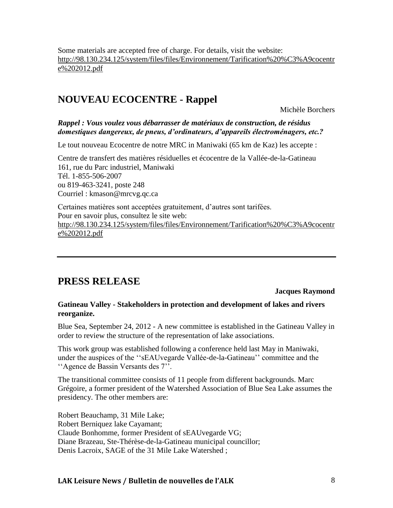Some materials are accepted free of charge. For details, visit the website: [http://98.130.234.125/system/files/files/Environnement/Tarification%20%C3%A9cocentr](http://98.130.234.125/system/files/files/Environnement/Tarification%20%C3%A9cocentre%202012.pdf) [e%202012.pdf](http://98.130.234.125/system/files/files/Environnement/Tarification%20%C3%A9cocentre%202012.pdf)

### **NOUVEAU ECOCENTRE - Rappel**

Michèle Borchers

*Rappel : Vous voulez vous débarrasser de matériaux de construction, de résidus domestiques dangereux, de pneus, d'ordinateurs, d'appareils électroménagers, etc.?* 

Le tout nouveau Ecocentre de notre MRC in Maniwaki (65 km de Kaz) les accepte :

Centre de transfert des matières résiduelles et écocentre de la Vallée-de-la-Gatineau 161, rue du Parc industriel, Maniwaki Tél. 1-855-506-2007 ou 819-463-3241, poste 248 Courriel : kmason@mrcvg.qc.ca

Certaines matières sont acceptées gratuitement, d'autres sont tarifées. Pour en savoir plus, consultez le site web: [http://98.130.234.125/system/files/files/Environnement/Tarification%20%C3%A9cocentr](http://98.130.234.125/system/files/files/Environnement/Tarification%20%C3%A9cocentre%202012.pdf) [e%202012.pdf](http://98.130.234.125/system/files/files/Environnement/Tarification%20%C3%A9cocentre%202012.pdf)

### **PRESS RELEASE**

#### **Jacques Raymond**

#### **Gatineau Valley - Stakeholders in protection and development of lakes and rivers reorganize.**

Blue Sea, September 24, 2012 - A new committee is established in the Gatineau Valley in order to review the structure of the representation of lake associations.

This work group was established following a conference held last May in Maniwaki, under the auspices of the ''sEAUvegarde Vallée-de-la-Gatineau'' committee and the ''Agence de Bassin Versants des 7''.

The transitional committee consists of 11 people from different backgrounds. Marc Grégoire, a former president of the Watershed Association of Blue Sea Lake assumes the presidency. The other members are:

Robert Beauchamp, 31 Mile Lake; Robert Berniquez lake Cayamant; Claude Bonhomme, former President of sEAUvegarde VG; Diane Brazeau, Ste-Thérèse-de-la-Gatineau municipal councillor; Denis Lacroix, SAGE of the 31 Mile Lake Watershed ;

#### **LAK Leisure News / Bulletin de nouvelles de l'ALK** 8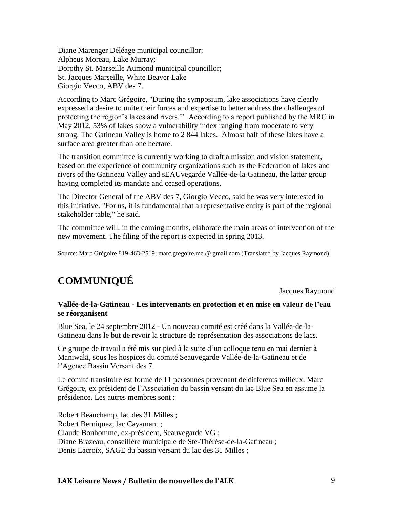Diane Marenger Déléage municipal councillor; Alpheus Moreau, Lake Murray; Dorothy St. Marseille Aumond municipal councillor; St. Jacques Marseille, White Beaver Lake Giorgio Vecco, ABV des 7.

According to Marc Grégoire, "During the symposium, lake associations have clearly expressed a desire to unite their forces and expertise to better address the challenges of protecting the region's lakes and rivers.'' According to a report published by the MRC in May 2012, 53% of lakes show a vulnerability index ranging from moderate to very strong. The Gatineau Valley is home to 2 844 lakes. Almost half of these lakes have a surface area greater than one hectare.

The transition committee is currently working to draft a mission and vision statement, based on the experience of community organizations such as the Federation of lakes and rivers of the Gatineau Valley and sEAUvegarde Vallée-de-la-Gatineau, the latter group having completed its mandate and ceased operations.

The Director General of the ABV des 7, Giorgio Vecco, said he was very interested in this initiative. "For us, it is fundamental that a representative entity is part of the regional stakeholder table," he said.

The committee will, in the coming months, elaborate the main areas of intervention of the new movement. The filing of the report is expected in spring 2013.

Source: Marc Grégoire 819-463-2519; marc.gregoire.mc @ gmail.com (Translated by Jacques Raymond)

# **COMMUNIQUÉ**

Jacques Raymond

#### **Vallée-de-la-Gatineau - Les intervenants en protection et en mise en valeur de l'eau se réorganisent**

Blue Sea, le 24 septembre 2012 - Un nouveau comité est créé dans la Vallée-de-la-Gatineau dans le but de revoir la structure de représentation des associations de lacs.

Ce groupe de travail a été mis sur pied à la suite d'un colloque tenu en mai dernier à Maniwaki, sous les hospices du comité Seauvegarde Vallée-de-la-Gatineau et de l'Agence Bassin Versant des 7.

Le comité transitoire est formé de 11 personnes provenant de différents milieux. Marc Grégoire, ex président de l'Association du bassin versant du lac Blue Sea en assume la présidence. Les autres membres sont :

Robert Beauchamp, lac des 31 Milles ; Robert Berniquez, lac Cayamant ; Claude Bonhomme, ex-président, Seauvegarde VG ; Diane Brazeau, conseillère municipale de Ste-Thérèse-de-la-Gatineau ; Denis Lacroix, SAGE du bassin versant du lac des 31 Milles ;

#### **LAK Leisure News / Bulletin de nouvelles de l'ALK** 9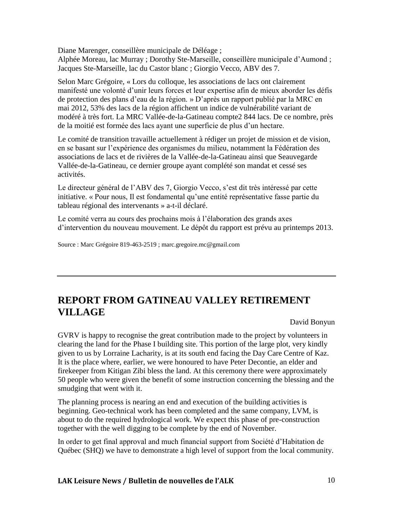Diane Marenger, conseillère municipale de Déléage ; Alphée Moreau, lac Murray ; Dorothy Ste-Marseille, conseillère municipale d'Aumond ; Jacques Ste-Marseille, lac du Castor blanc ; Giorgio Vecco, ABV des 7.

Selon Marc Grégoire, « Lors du colloque, les associations de lacs ont clairement manifesté une volonté d'unir leurs forces et leur expertise afin de mieux aborder les défis de protection des plans d'eau de la région. » D'après un rapport publié par la MRC en mai 2012, 53% des lacs de la région affichent un indice de vulnérabilité variant de modéré à très fort. La MRC Vallée-de-la-Gatineau compte2 844 lacs. De ce nombre, près de la moitié est formée des lacs ayant une superficie de plus d'un hectare.

Le comité de transition travaille actuellement à rédiger un projet de mission et de vision, en se basant sur l'expérience des organismes du milieu, notamment la Fédération des associations de lacs et de rivières de la Vallée-de-la-Gatineau ainsi que Seauvegarde Vallée-de-la-Gatineau, ce dernier groupe ayant complété son mandat et cessé ses activités.

Le directeur général de l'ABV des 7, Giorgio Vecco, s'est dit très intéressé par cette initiative. « Pour nous, Il est fondamental qu'une entité représentative fasse partie du tableau régional des intervenants » a-t-il déclaré.

Le comité verra au cours des prochains mois à l'élaboration des grands axes d'intervention du nouveau mouvement. Le dépôt du rapport est prévu au printemps 2013.

Source : Marc Grégoire 819-463-2519 ; marc.gregoire.mc@gmail.com

# **REPORT FROM GATINEAU VALLEY RETIREMENT VILLAGE**

David Bonyun

GVRV is happy to recognise the great contribution made to the project by volunteers in clearing the land for the Phase I building site. This portion of the large plot, very kindly given to us by Lorraine Lacharity, is at its south end facing the Day Care Centre of Kaz. It is the place where, earlier, we were honoured to have Peter Decontie, an elder and firekeeper from Kitigan Zibi bless the land. At this ceremony there were approximately 50 people who were given the benefit of some instruction concerning the blessing and the smudging that went with it.

The planning process is nearing an end and execution of the building activities is beginning. Geo-technical work has been completed and the same company, LVM, is about to do the required hydrological work. We expect this phase of pre-construction together with the well digging to be complete by the end of November.

In order to get final approval and much financial support from Société d'Habitation de Québec (SHQ) we have to demonstrate a high level of support from the local community.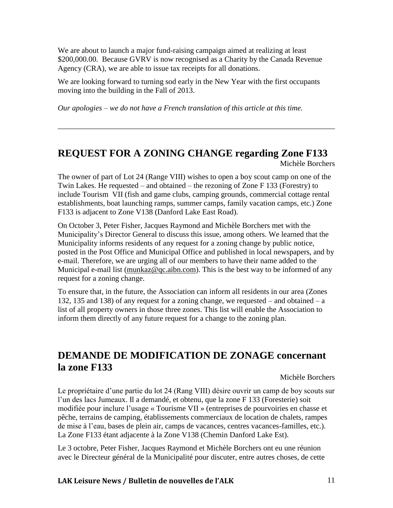We are about to launch a major fund-raising campaign aimed at realizing at least \$200,000.00. Because GVRV is now recognised as a Charity by the Canada Revenue Agency (CRA), we are able to issue tax receipts for all donations.

We are looking forward to turning sod early in the New Year with the first occupants moving into the building in the Fall of 2013.

*Our apologies – we do not have a French translation of this article at this time.* 

# **REQUEST FOR A ZONING CHANGE regarding Zone F133**

\_\_\_\_\_\_\_\_\_\_\_\_\_\_\_\_\_\_\_\_\_\_\_\_\_\_\_\_\_\_\_\_\_\_\_\_\_\_\_\_\_\_\_\_\_\_\_\_\_\_\_\_\_\_\_\_\_\_\_\_\_\_\_\_\_\_\_\_\_\_\_\_

Michèle Borchers

The owner of part of Lot 24 (Range VIII) wishes to open a boy scout camp on one of the Twin Lakes. He requested – and obtained – the rezoning of Zone F 133 (Forestry) to include Tourism VII (fish and game clubs, camping grounds, commercial cottage rental establishments, boat launching ramps, summer camps, family vacation camps, etc.) Zone F133 is adjacent to Zone V138 (Danford Lake East Road).

On October 3, Peter Fisher, Jacques Raymond and Michèle Borchers met with the Municipality's Director General to discuss this issue, among others. We learned that the Municipality informs residents of any request for a zoning change by public notice, posted in the Post Office and Municipal Office and published in local newspapers, and by e-mail. Therefore, we are urging all of our members to have their name added to the Municipal e-mail list [\(munkaz@qc.aibn.com\)](mailto:munkaz@qc.aibn.com). This is the best way to be informed of any request for a zoning change.

To ensure that, in the future, the Association can inform all residents in our area (Zones 132, 135 and 138) of any request for a zoning change, we requested – and obtained – a list of all property owners in those three zones. This list will enable the Association to inform them directly of any future request for a change to the zoning plan.

# **DEMANDE DE MODIFICATION DE ZONAGE concernant la zone F133**

Michèle Borchers

Le propriétaire d'une partie du lot 24 (Rang VIII) désire ouvrir un camp de boy scouts sur l'un des lacs Jumeaux. Il a demandé, et obtenu, que la zone F 133 (Foresterie) soit modifiée pour inclure l'usage « Tourisme VII » (entreprises de pourvoiries en chasse et pêche, terrains de camping, établissements commerciaux de location de chalets, rampes de mise à l'eau, bases de plein air, camps de vacances, centres vacances-familles, etc.). La Zone F133 étant adjacente à la Zone V138 (Chemin Danford Lake Est).

Le 3 octobre, Peter Fisher, Jacques Raymond et Michèle Borchers ont eu une réunion avec le Directeur général de la Municipalité pour discuter, entre autres choses, de cette

#### **LAK Leisure News / Bulletin de nouvelles de l'ALK** 11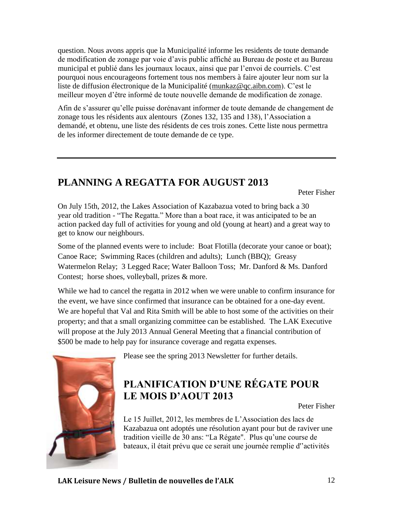question. Nous avons appris que la Municipalité informe les residents de toute demande de modification de zonage par voie d'avis public affiché au Bureau de poste et au Bureau municipal et publié dans les journaux locaux, ainsi que par l'envoi de courriels. C'est pourquoi nous encourageons fortement tous nos members à faire ajouter leur nom sur la liste de diffusion électronique de la Municipalité [\(munkaz@qc.aibn.com\)](mailto:munkaz@qc.aibn.com). C'est le meilleur moyen d'être informé de toute nouvelle demande de modification de zonage.

Afin de s'assurer qu'elle puisse dorénavant informer de toute demande de changement de zonage tous les résidents aux alentours (Zones 132, 135 and 138), l'Association a demandé, et obtenu, une liste des résidents de ces trois zones. Cette liste nous permettra de les informer directement de toute demande de ce type.

# **PLANNING A REGATTA FOR AUGUST 2013**

Peter Fisher

On July 15th, 2012, the Lakes Association of Kazabazua voted to bring back a 30 year old tradition - "The Regatta." More than a boat race, it was anticipated to be an action packed day full of activities for young and old (young at heart) and a great way to get to know our neighbours.

Some of the planned events were to include: Boat Flotilla (decorate your canoe or boat); Canoe Race; Swimming Races (children and adults); Lunch (BBQ); Greasy Watermelon Relay; 3 Legged Race; Water Balloon Toss; Mr. Danford & Ms. Danford Contest; horse shoes, volleyball, prizes & more.

While we had to cancel the regatta in 2012 when we were unable to confirm insurance for the event, we have since confirmed that insurance can be obtained for a one-day event. We are hopeful that Val and Rita Smith will be able to host some of the activities on their property; and that a small organizing committee can be established. The LAK Executive will propose at the July 2013 Annual General Meeting that a financial contribution of \$500 be made to help pay for insurance coverage and regatta expenses.



Please see the spring 2013 Newsletter for further details.

# **PLANIFICATION D'UNE RÉGATE POUR LE MOIS D'AOUT 2013**

Peter Fisher

Le 15 Juillet, 2012, les membres de L'Association des lacs de Kazabazua ont adoptés une résolution ayant pour but de raviver une tradition vieille de 30 ans: "La Régate". Plus qu'une course de bateaux, il était prévu que ce serait une journée remplie d''activités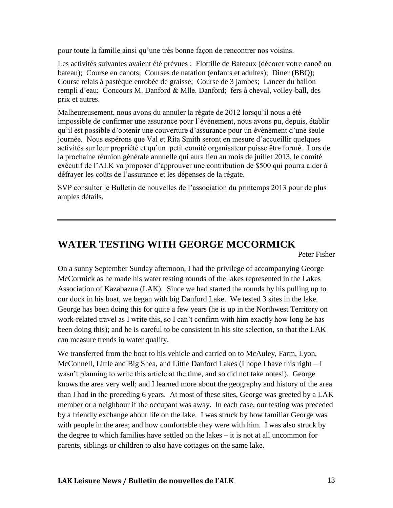pour toute la famille ainsi qu'une très bonne façon de rencontrer nos voisins.

Les activités suivantes avaient été prévues : Flottille de Bateaux (décorer votre canoë ou bateau); Course en canots; Courses de natation (enfants et adultes); Diner (BBQ); Course relais à pastèque enrobée de graisse; Course de 3 jambes; Lancer du ballon rempli d'eau; Concours M. Danford & Mlle. Danford; fers à cheval, volley-ball, des prix et autres.

Malheureusement, nous avons du annuler la régate de 2012 lorsqu'il nous a été impossible de confirmer une assurance pour l'évènement, nous avons pu, depuis, établir qu'il est possible d'obtenir une couverture d'assurance pour un évènement d'une seule journée. Nous espérons que Val et Rita Smith seront en mesure d'accueillir quelques activités sur leur propriété et qu'un petit comité organisateur puisse être formé. Lors de la prochaine réunion générale annuelle qui aura lieu au mois de juillet 2013, le comité exécutif de l'ALK va proposer d'approuver une contribution de \$500 qui pourra aider à défrayer les coûts de l'assurance et les dépenses de la régate.

SVP consulter le Bulletin de nouvelles de l'association du printemps 2013 pour de plus amples détails.

## **WATER TESTING WITH GEORGE MCCORMICK**

Peter Fisher

On a sunny September Sunday afternoon, I had the privilege of accompanying George McCormick as he made his water testing rounds of the lakes represented in the Lakes Association of Kazabazua (LAK). Since we had started the rounds by his pulling up to our dock in his boat, we began with big Danford Lake. We tested 3 sites in the lake. George has been doing this for quite a few years (he is up in the Northwest Territory on work-related travel as I write this, so I can't confirm with him exactly how long he has been doing this); and he is careful to be consistent in his site selection, so that the LAK can measure trends in water quality.

We transferred from the boat to his vehicle and carried on to McAuley, Farm, Lyon, McConnell, Little and Big Shea, and Little Danford Lakes (I hope I have this right – I wasn't planning to write this article at the time, and so did not take notes!). George knows the area very well; and I learned more about the geography and history of the area than I had in the preceding 6 years. At most of these sites, George was greeted by a LAK member or a neighbour if the occupant was away. In each case, our testing was preceded by a friendly exchange about life on the lake. I was struck by how familiar George was with people in the area; and how comfortable they were with him. I was also struck by the degree to which families have settled on the lakes – it is not at all uncommon for parents, siblings or children to also have cottages on the same lake.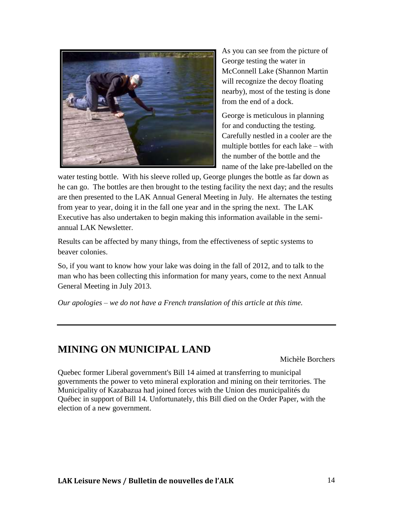

As you can see from the picture of George testing the water in McConnell Lake (Shannon Martin will recognize the decoy floating nearby), most of the testing is done from the end of a dock.

George is meticulous in planning for and conducting the testing. Carefully nestled in a cooler are the multiple bottles for each lake – with the number of the bottle and the name of the lake pre-labelled on the

water testing bottle. With his sleeve rolled up, George plunges the bottle as far down as he can go. The bottles are then brought to the testing facility the next day; and the results are then presented to the LAK Annual General Meeting in July. He alternates the testing from year to year, doing it in the fall one year and in the spring the next. The LAK Executive has also undertaken to begin making this information available in the semiannual LAK Newsletter.

Results can be affected by many things, from the effectiveness of septic systems to beaver colonies.

So, if you want to know how your lake was doing in the fall of 2012, and to talk to the man who has been collecting this information for many years, come to the next Annual General Meeting in July 2013.

*Our apologies – we do not have a French translation of this article at this time.*

### **MINING ON MUNICIPAL LAND**

Michèle Borchers

Quebec former Liberal government's Bill 14 aimed at transferring to municipal governments the power to veto mineral exploration and mining on their territories. The Municipality of Kazabazua had joined forces with the Union des municipalités du Québec in support of Bill 14. Unfortunately, this Bill died on the Order Paper, with the election of a new government.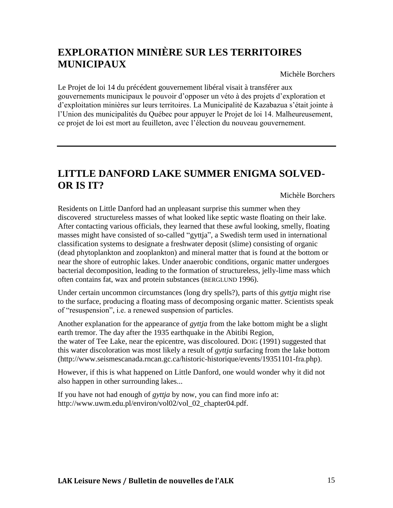# **EXPLORATION MINIÈRE SUR LES TERRITOIRES MUNICIPAUX**

Michèle Borchers

Le Projet de loi 14 du précédent gouvernement libéral visait à transférer aux gouvernements municipaux le pouvoir d'opposer un véto à des projets d'exploration et d'exploitation minières sur leurs territoires. La Municipalité de Kazabazua s'était jointe à l'Union des municipalités du Québec pour appuyer le Projet de loi 14. Malheureusement, ce projet de loi est mort au feuilleton, avec l'élection du nouveau gouvernement.

## **LITTLE DANFORD LAKE SUMMER ENIGMA SOLVED-OR IS IT?**

Michèle Borchers

Residents on Little Danford had an unpleasant surprise this summer when they discovered structureless masses of what looked like septic waste floating on their lake. After contacting various officials, they learned that these awful looking, smelly, floating masses might have consisted of so-called "gyttja", a Swedish term used in international classification systems to designate a freshwater deposit (slime) consisting of organic (dead phytoplankton and zooplankton) and mineral matter that is found at the bottom or near the shore of eutrophic lakes. Under anaerobic conditions, organic matter undergoes bacterial decomposition, leading to the formation of structureless, jelly-lime mass which often contains fat, wax and protein substances (BERGLUND 1996).

Under certain uncommon circumstances (long dry spells?), parts of this *gyttja* might rise to the surface, producing a floating mass of decomposing organic matter. Scientists speak of "resuspension", i.e. a renewed suspension of particles.

Another explanation for the appearance of *gyttja* from the lake bottom might be a slight earth tremor. The day after the 1935 earthquake in the Abitibi Region, the water of Tee Lake, near the epicentre, was discoloured. DOIG (1991) suggested that this water discoloration was most likely a result of *gyttja* surfacing from the lake bottom [\(http://www.seismescanada.rncan.gc.ca/historic-historique/events/19351101-fra.php\)](http://www.seismescanada.rncan.gc.ca/historic-historique/events/19351101-fra.php).

However, if this is what happened on Little Danford, one would wonder why it did not also happen in other surrounding lakes...

If you have not had enough of *gyttja* by now, you can find more info at: [http://www.uwm.edu.pl/environ/vol02/vol\\_02\\_chapter04.pdf.](http://www.uwm.edu.pl/environ/vol02/vol_02_chapter04.pdf)